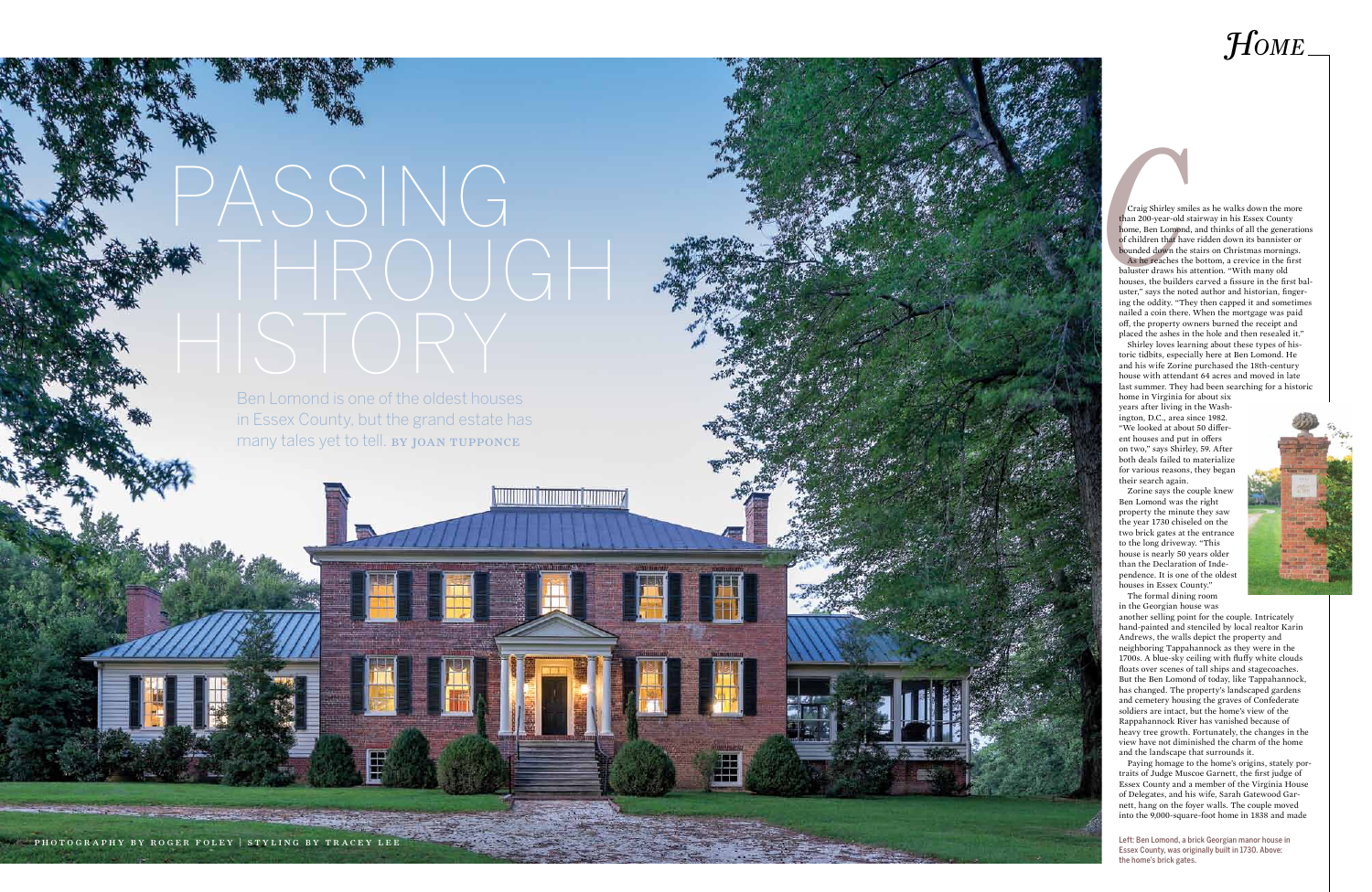photograph by robert meganck

## *Home*



photography by roger foley | styling by tracey lee

**Craig Shirley smi**<br>than 200-year-old s<br>home, Ben Lomond<br>of children that hav<br>bounded down the<br>As he reaches the<br>baluster draws his Craig Shirley smiles as he walks down the more than 200-year-old stairway in his Essex County home, Ben Lomond, and thinks of all the generations of children that have ridden down its bannister or bounded down the stairs on Christmas mornings. As he reaches the bottom, a crevice in the first baluster draws his attention. "With many old houses, the builders carved a fissure in the first bal uster," says the noted author and historian, finger ing the oddity. "They then capped it and sometimes nailed a coin there. When the mortgage was paid off, the property owners burned the receipt and placed the ashes in the hole and then resealed it."

Shirley loves learning about these types of his toric tidbits, especially here at Ben Lomond. He and his wife Zorine purchased the 18th-century house with attendant 64 acres and moved in late last summer. They had been searching for a historic

home in Virginia for about six years after living in the Wash ington, D.C., area since 1982. "We looked at about 50 differ ent houses and put in offers on two," says Shirley, 59. After both deals failed to materialize for various reasons, they began their search again.

## ASSING THROUGH

Ben Lomond is one of the oldest houses in Essex County, but the grand estate has many tales yet to tell. BY JOAN TUPPONCE

Zorine says the couple knew Ben Lomond was the right property the minute they saw the year 1730 chiseled on the two brick gates at the entrance to the long driveway. "This house is nearly 50 years older than the Declaration of Inde pendence. It is one of the oldest houses in Essex County."

The formal dining room in the Georgian house was another selling point for the couple. Intricately hand-painted and stenciled by local realtor Karin Andrews, the walls depict the property and neighboring Tappahannock as they were in the 1700s. A blue-sky ceiling with fluffy white clouds floats over scenes of tall ships and stagecoaches. But the Ben Lomond of today, like Tappahannock, has changed. The property's landscaped gardens and cemetery housing the graves of Confederate soldiers are intact, but the home's view of the Rappahannock River has vanished because of heavy tree growth. Fortunately, the changes in the view have not diminished the charm of the home and the landscape that surrounds it.

Paying homage to the home's origins, stately por traits of Judge Muscoe Garnett, the first judge of Essex County and a member of the Virginia House of Delegates, and his wife, Sarah Gatewood Gar nett, hang on the foyer walls. The couple moved into the 9,000-square-foot home in 1838 and made

Left: Ben Lomond, a brick Georgian manor house in Essex County, was originally built in 1730. Above: the home's brick gates.

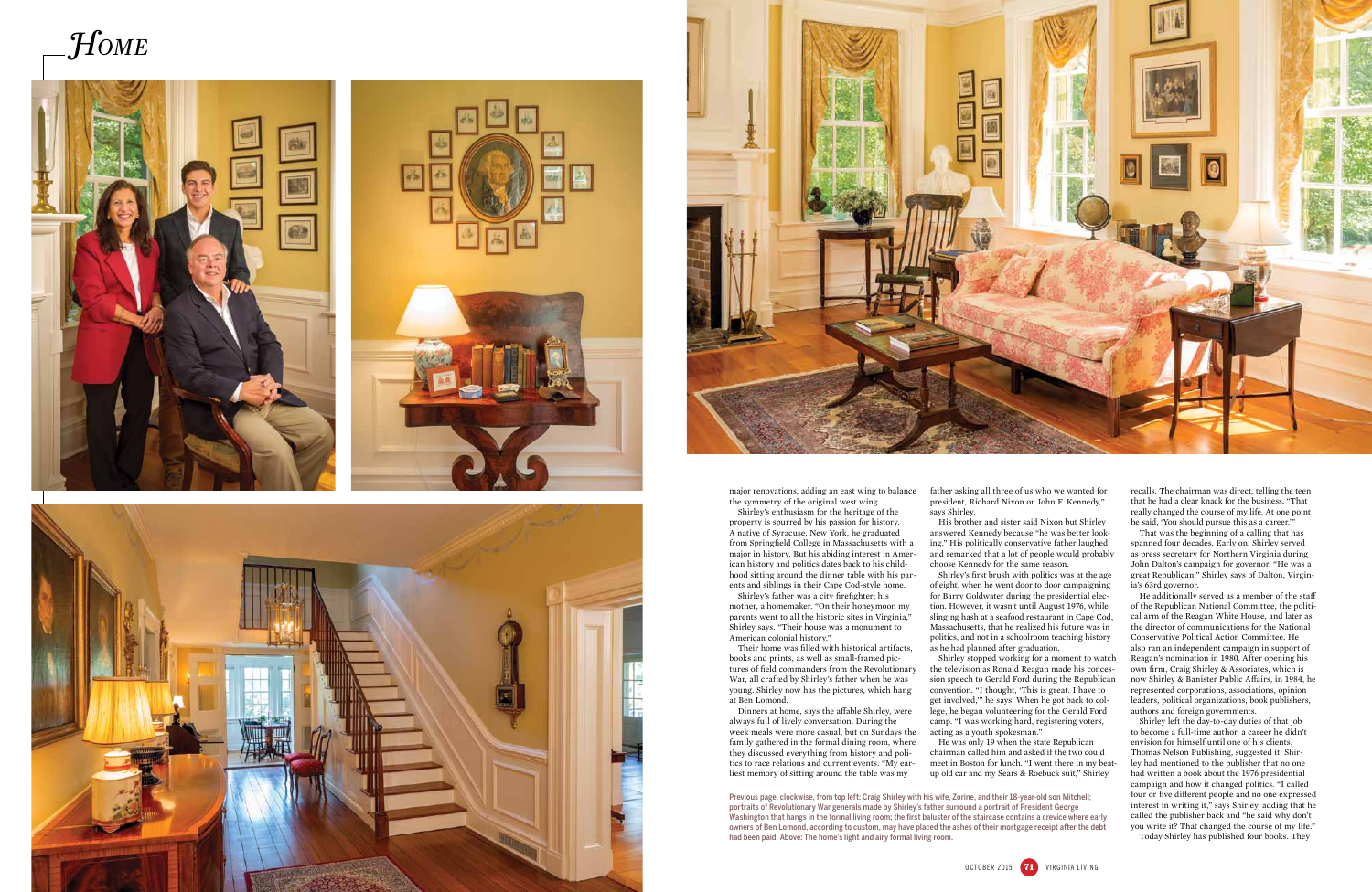











major renovations, adding an east wing to balance the symmetry of the original west wing.

Shirley's enthusiasm for the heritage of the property is spurred by his passion for history. A native of Syracuse, New York, he graduated from Springfield College in Massachusetts with a major in history. But his abiding interest in American history and politics dates back to his childhood sitting around the dinner table with his parents and siblings in their Cape Cod-style home. Shirley's father was a city firefighter; his

mother, a homemaker. "On their honeymoon my parents went to all the historic sites in Virginia," Shirley says. "Their house was a monument to American colonial history."

Their home was filled with historical artifacts, books and prints, as well as small-framed pictures of field commanders from the Revolutionary War, all crafted by Shirley's father when he was young. Shirley now has the pictures, which hang at Ben Lomond.

Dinners at home, says the affable Shirley, were always full of lively conversation. During the week meals were more casual, but on Sundays the family gathered in the formal dining room, where they discussed everything from history and politics to race relations and current events. "My earliest memory of sitting around the table was my

father asking all three of us who we wanted for president, Richard Nixon or John F. Kennedy," says Shirley.

His brother and sister said Nixon but Shirley answered Kennedy because "he was better looking." His politically conservative father laughed and remarked that a lot of people would probably choose Kennedy for the same reason.

> He additionally served as a member of the staff of the Republican National Committee, the political arm of the Reagan White House, and later as the director of communications for the National Conservative Political Action Committee. He also ran an independent campaign in support of Reagan's nomination in 1980. After opening his own firm, Craig Shirley & Associates, which is now Shirley & Banister Public Affairs, in 1984, he represented corporations, associations, opinion leaders, political organizations, book publishers, authors and foreign governments.

Shirley's first brush with politics was at the age of eight, when he went door to door campaigning for Barry Goldwater during the presidential election. However, it wasn't until August 1976, while slinging hash at a seafood restaurant in Cape Cod, Massachusetts, that he realized his future was in politics, and not in a schoolroom teaching history as he had planned after graduation.

Shirley stopped working for a moment to watch the television as Ronald Reagan made his concession speech to Gerald Ford during the Republican convention. "I thought, 'This is great. I have to get involved,'" he says. When he got back to college, he began volunteering for the Gerald Ford camp. "I was working hard, registering voters, acting as a youth spokesman."

He was only 19 when the state Republican chairman called him and asked if the two could meet in Boston for lunch. "I went there in my beatup old car and my Sears & Roebuck suit," Shirley

recalls. The chairman was direct, telling the teen that he had a clear knack for the business. "That really changed the course of my life. At one point he said, 'You should pursue this as a career.'"

That was the beginning of a calling that has spanned four decades. Early on, Shirley served as press secretary for Northern Virginia during John Dalton's campaign for governor. "He was a great Republican," Shirley says of Dalton, Virginia's 63rd governor.

Shirley left the day-to-day duties of that job to become a full-time author, a career he didn't envision for himself until one of his clients, Thomas Nelson Publishing, suggested it. Shirley had mentioned to the publisher that no one had written a book about the 1976 presidential campaign and how it changed politics. "I called four or five different people and no one expressed interest in writing it," says Shirley, adding that he called the publisher back and "he said why don't you write it? That changed the course of my life."

Today Shirley has published four books. They

Previous page, clockwise, from top left: Craig Shirley with his wife, Zorine, and their 18-year-old son Mitchell; portraits of Revolutionary War generals made by Shirley's father surround a portrait of President George Washington that hangs in the formal living room; the first baluster of the staircase contains a crevice where early owners of Ben Lomond, according to custom, may have placed the ashes of their mortgage receipt after the debt had been paid. Above: The home's light and airy formal living room.